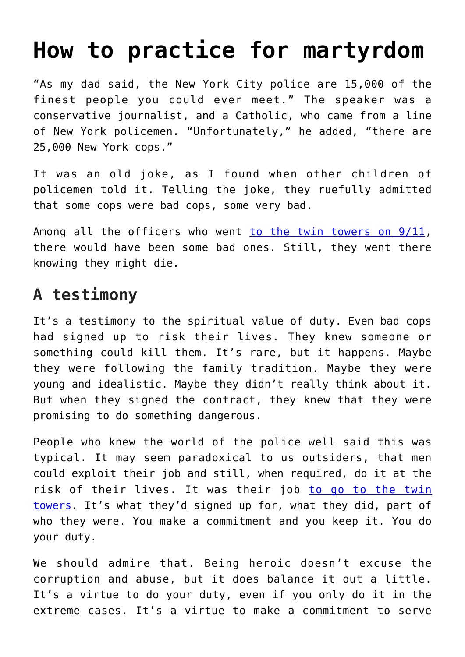## **[How to practice for martyrdom](https://www.osvnews.com/2021/09/16/how-to-practice-for-martyrdom/)**

"As my dad said, the New York City police are 15,000 of the finest people you could ever meet." The speaker was a conservative journalist, and a Catholic, who came from a line of New York policemen. "Unfortunately," he added, "there are 25,000 New York cops."

It was an old joke, as I found when other children of policemen told it. Telling the joke, they ruefully admitted that some cops were bad cops, some very bad.

Among all the officers who went [to the twin towers on 9/11,](https://www.osvnews.com/2021/09/03/20-years-later-people-reflect-on-how-9-11-shaped-their-faith/) there would have been some bad ones. Still, they went there knowing they might die.

## **A testimony**

It's a testimony to the spiritual value of duty. Even bad cops had signed up to risk their lives. They knew someone or something could kill them. It's rare, but it happens. Maybe they were following the family tradition. Maybe they were young and idealistic. Maybe they didn't really think about it. But when they signed the contract, they knew that they were promising to do something dangerous.

People who knew the world of the police well said this was typical. It may seem paradoxical to us outsiders, that men could exploit their job and still, when required, do it at the risk of their lives. It was their job [to go to the twin](https://www.osvnews.com/2021/08/23/remembering-9-11-a-dark-day-in-the-history-of-humanity/) [towers.](https://www.osvnews.com/2021/08/23/remembering-9-11-a-dark-day-in-the-history-of-humanity/) It's what they'd signed up for, what they did, part of who they were. You make a commitment and you keep it. You do your duty.

We should admire that. Being heroic doesn't excuse the corruption and abuse, but it does balance it out a little. It's a virtue to do your duty, even if you only do it in the extreme cases. It's a virtue to make a commitment to serve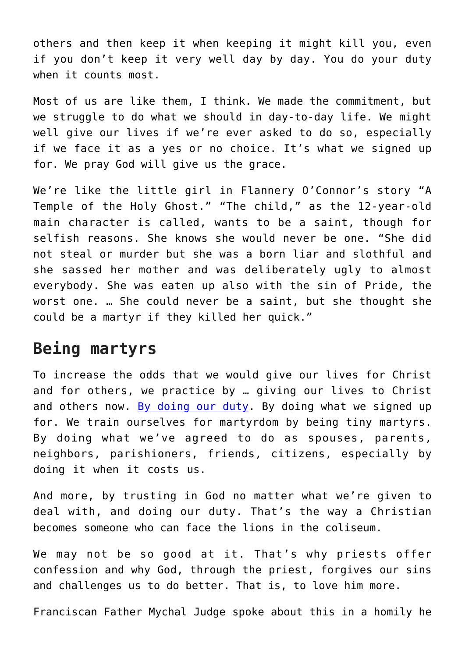others and then keep it when keeping it might kill you, even if you don't keep it very well day by day. You do your duty when it counts most.

Most of us are like them, I think. We made the commitment, but we struggle to do what we should in day-to-day life. We might well give our lives if we're ever asked to do so, especially if we face it as a yes or no choice. It's what we signed up for. We pray God will give us the grace.

We're like the little girl in Flannery O'Connor's story "A Temple of the Holy Ghost." "The child," as the 12-year-old main character is called, wants to be a saint, though for selfish reasons. She knows she would never be one. "She did not steal or murder but she was a born liar and slothful and she sassed her mother and was deliberately ugly to almost everybody. She was eaten up also with the sin of Pride, the worst one. … She could never be a saint, but she thought she could be a martyr if they killed her quick."

## **Being martyrs**

To increase the odds that we would give our lives for Christ and for others, we practice by … giving our lives to Christ and others now. [By doing our duty.](https://www.osvnews.com/2021/09/08/we-cant-let-people-forget-9-11-says-retired-nyfd-captain/) By doing what we signed up for. We train ourselves for martyrdom by being tiny martyrs. By doing what we've agreed to do as spouses, parents, neighbors, parishioners, friends, citizens, especially by doing it when it costs us.

And more, by trusting in God no matter what we're given to deal with, and doing our duty. That's the way a Christian becomes someone who can face the lions in the coliseum.

We may not be so good at it. That's why priests offer confession and why God, through the priest, forgives our sins and challenges us to do better. That is, to love him more.

Franciscan Father Mychal Judge spoke about this in a homily he